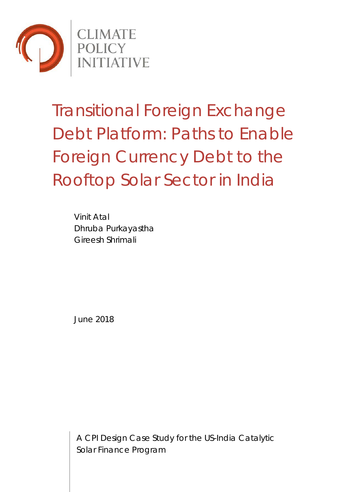

# Transitional Foreign Exchange Debt Platform: Paths to Enable Foreign Currency Debt to the Rooftop Solar Sector in India

Vinit Atal Dhruba Purkayastha Gireesh Shrimali

June 2018

A CPI Design Case Study for the US-India Catalytic Solar Finance Program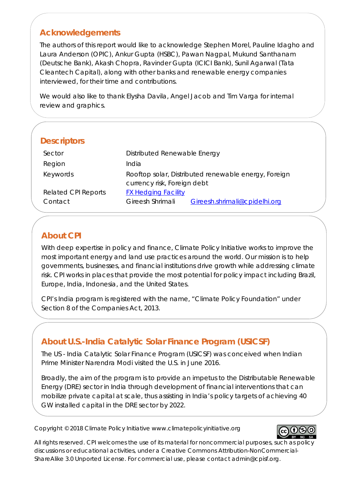# **Acknowledgements**

The authors of this report would like to acknowledge Stephen Morel, Pauline Idagho and Laura Anderson (OPIC), Ankur Gupta (HSBC), Pawan Nagpal, Mukund Santhanam (Deutsche Bank), Akash Chopra, Ravinder Gupta (ICICI Bank), Sunil Agarwal (Tata Cleantech Capital), along with other banks and renewable energy companies interviewed, for their time and contributions.

We would also like to thank Elysha Davila, Angel Jacob and Tim Varga for internal review and graphics.

| <b>Descriptors</b>  |                                                      |  |  |
|---------------------|------------------------------------------------------|--|--|
| Sector              | Distributed Renewable Energy                         |  |  |
| Region              | India                                                |  |  |
| Keywords            | Rooftop solar, Distributed renewable energy, Foreign |  |  |
|                     | currency risk, Foreign debt                          |  |  |
| Related CPI Reports | <b>FX Hedging Facility</b>                           |  |  |
| Contact             | Gireesh Shrimali<br>Gireesh.shrimali@cpidelhi.org    |  |  |
|                     |                                                      |  |  |

# **About CPI**

With deep expertise in policy and finance, Climate Policy Initiative works to improve the most important energy and land use practices around the world. Our mission is to help governments, businesses, and financial institutions drive growth while addressing climate risk. CPI works in places that provide the most potential for policy impact including Brazil, Europe, India, Indonesia, and the United States.

CPI's India program is registered with the name, "Climate Policy Foundation" under Section 8 of the Companies Act, 2013.

# **About U.S.-India Catalytic Solar Finance Program (USICSF)**

The US - India Catalytic Solar Finance Program (USICSF) was conceived when Indian Prime Minister Narendra Modi visited the U.S. in June 2016.

Broadly, the aim of the program is to provide an impetus to the Distributable Renewable Energy (DRE) sector in India through development of financial interventions that can mobilize private capital at scale, thus assisting in India's policy targets of achieving 40 GW installed capital in the DRE sector by 2022.

Copyright © 2018 Climate Policy Initiative www.climatepolicyinitiative.org



All rights reserved. CPI welcomes the use of its material for noncommercial purposes, such as policy discussions or educational activities, under a Creative Commons Attribution-NonCommercial-ShareAlike 3.0 Unported License. For commercial use, please contact admin@cpisf.org.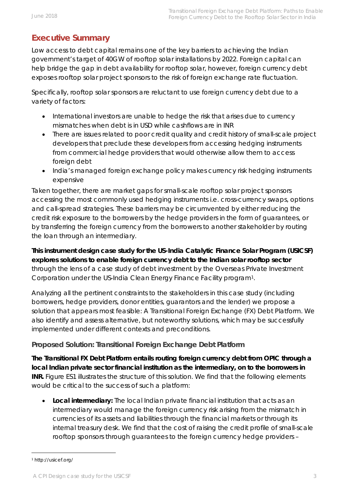# **Executive Summary**

Low access to debt capital remains one of the key barriers to achieving the Indian government's target of 40GW of rooftop solar installations by 2022. Foreign capital can help bridge the gap in debt availability for rooftop solar, however, foreign currency debt exposes rooftop solar project sponsors to the risk of foreign exchange rate fluctuation.

Specifically, rooftop solar sponsors are reluctant to use foreign currency debt due to a variety of factors:

- International investors are unable to hedge the risk that arises due to currency mismatches when debt is in USD while cashflows are in INR
- There are issues related to poor credit quality and credit history of small-scale project developers that preclude these developers from accessing hedging instruments from commercial hedge providers that would otherwise allow them to access foreign debt
- India's managed foreign exchange policy makes currency risk hedging instruments expensive

Taken together, there are market gaps for small-scale rooftop solar project sponsors accessing the most commonly used hedging instruments i.e. cross-currency swaps, options and call-spread strategies. These barriers may be circumvented by either reducing the credit risk exposure to the borrowers by the hedge providers in the form of guarantees, or by transferring the foreign currency from the borrowers to another stakeholder by routing the loan through an intermediary.

**This instrument design case study for the US-India Catalytic Finance Solar Program (USICSF) explores solutions to enable foreign currency debt to the Indian solar rooftop sector** through the lens of a case study of debt investment by the Overseas Private Investment Corporation under the US-India Clean Energy Finance Facility program[1.](#page-2-0)

Analyzing all the pertinent constraints to the stakeholders in this case study (including borrowers, hedge providers, donor entities, guarantors and the lender) we propose a solution that appears most feasible: A Transitional Foreign Exchange (FX) Debt Platform. We also identify and assess alternative, but noteworthy solutions, which may be successfully implemented under different contexts and preconditions.

## **Proposed Solution: Transitional Foreign Exchange Debt Platform**

**The Transitional FX Debt Platform entails routing foreign currency debt from OPIC through a local Indian private sector financial institution as the intermediary, on to the borrowers in INR.** Figure ES1 illustrates the structure of this solution. We find that the following elements would be critical to the success of such a platform:

• **Local intermediary:** The local Indian private financial institution that acts as an intermediary would manage the foreign currency risk arising from the mismatch in currencies of its assets and liabilities through the financial markets or through its internal treasury desk. We find that the cost of raising the credit profile of small-scale rooftop sponsors through guarantees to the foreign currency hedge providers –

<span id="page-2-0"></span> <sup>1</sup> http://usicef.org/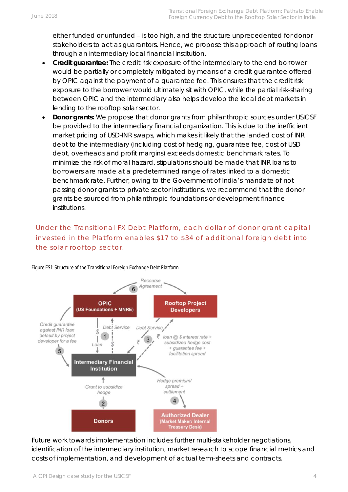either funded or unfunded – is too high, and the structure unprecedented for donor stakeholders to act as guarantors. Hence, we propose this approach of routing loans through an intermediary local financial institution.

- **Credit guarantee:** The credit risk exposure of the intermediary to the end borrower would be partially or completely mitigated by means of a credit guarantee offered by OPIC against the payment of a guarantee fee. This ensures that the credit risk exposure to the borrower would ultimately sit with OPIC, while the partial risk-sharing between OPIC and the intermediary also helps develop the local debt markets in lending to the rooftop solar sector.
- **Donor grants:** We propose that donor grants from philanthropic sources under USICSF be provided to the intermediary financial organization. This is due to the inefficient market pricing of USD-INR swaps, which makes it likely that the landed cost of INR debt to the intermediary (including cost of hedging, guarantee fee, cost of USD debt, overheads and profit margins) exceeds domestic benchmark rates. To minimize the risk of moral hazard, stipulations should be made that INR loans to borrowers are made at a predetermined range of rates linked to a domestic benchmark rate. Further, owing to the Government of India's mandate of not passing donor grants to private sector institutions, we recommend that the donor grants be sourced from philanthropic foundations or development finance institutions.

# *Under the Transitional FX Debt Platform, each dollar of donor grant capital invested in the Platform enables \$17 to \$34 of additional foreign debt into the solar rooftop sector.*



*Figure ES1: Structure of the Transitional Foreign Exchange Debt Platform*

Future work towards implementation includes further multi-stakeholder negotiations, identification of the intermediary institution, market research to scope financial metrics and costs of implementation, and development of actual term-sheets and contracts.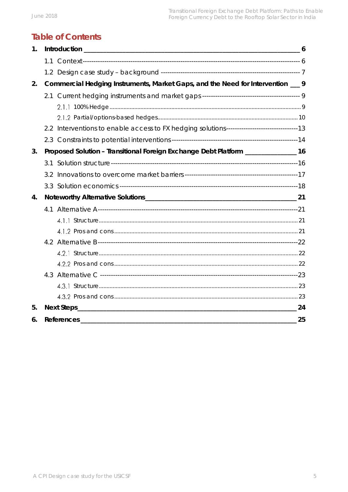# **Table of Contents**

| 1. | $-6$                                                                             |                                                                                    |  |
|----|----------------------------------------------------------------------------------|------------------------------------------------------------------------------------|--|
|    |                                                                                  |                                                                                    |  |
|    |                                                                                  |                                                                                    |  |
| 2. | Commercial Hedging Instruments, Market Gaps, and the Need for Intervention ___ 9 |                                                                                    |  |
|    |                                                                                  |                                                                                    |  |
|    |                                                                                  |                                                                                    |  |
|    |                                                                                  |                                                                                    |  |
|    |                                                                                  |                                                                                    |  |
|    |                                                                                  |                                                                                    |  |
| 3. |                                                                                  | Proposed Solution - Transitional Foreign Exchange Debt Platform ________________16 |  |
|    |                                                                                  |                                                                                    |  |
|    |                                                                                  |                                                                                    |  |
|    |                                                                                  |                                                                                    |  |
| 4. |                                                                                  |                                                                                    |  |
|    |                                                                                  |                                                                                    |  |
|    |                                                                                  |                                                                                    |  |
|    |                                                                                  |                                                                                    |  |
|    |                                                                                  |                                                                                    |  |
|    |                                                                                  |                                                                                    |  |
|    |                                                                                  |                                                                                    |  |
|    |                                                                                  |                                                                                    |  |
|    |                                                                                  |                                                                                    |  |
|    |                                                                                  |                                                                                    |  |
| 5. |                                                                                  |                                                                                    |  |
| 6. |                                                                                  | References 25                                                                      |  |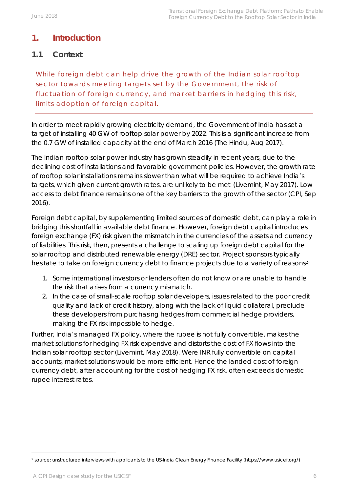# <span id="page-5-0"></span>**1. Introduction**

## <span id="page-5-1"></span>**1.1 Context**

*While foreign debt can help drive the growth of the Indian solar rooftop sector towards meeting targets set by the Government, the risk of fluctuation of foreign currency, and market barriers in hedging this risk, limits adoption of foreign capital.*

In order to meet rapidly growing electricity demand, the Government of India has set a target of installing 40 GW of rooftop solar power by 2022. This is a significant increase from the 0.7 GW of installed capacity at the end of March 2016 (The Hindu, Aug 2017).

The Indian rooftop solar power industry has grown steadily in recent years, due to the declining cost of installations and favorable government policies. However, the growth rate of rooftop solar installations remains slower than what will be required to achieve India's targets, which given current growth rates, are unlikely to be met (Livemint, May 2017). Low access to debt finance remains one of the key barriers to the growth of the sector (CPI, Sep 2016).

Foreign debt capital, by supplementing limited sources of domestic debt, can play a role in bridging this shortfall in available debt finance. However, foreign debt capital introduces foreign exchange (FX) risk given the mismatch in the currencies of the assets and currency of liabilities. This risk, then, presents a challenge to scaling up foreign debt capital for the solar rooftop and distributed renewable energy (DRE) sector. Project sponsors typically hesitate to take on foreign currency debt to finance projects due to a variety of reasons<sup>2</sup>:

- 1. Some international investors or lenders often do not know or are unable to handle the risk that arises from a currency mismatch.
- 2. In the case of small-scale rooftop solar developers, issues related to the poor credit quality and lack of credit history, along with the lack of liquid collateral, preclude these developers from purchasing hedges from commercial hedge providers, making the FX risk impossible to hedge.

Further, India's managed FX policy, where the rupee is not fully convertible, makes the market solutions for hedging FX risk expensive and distorts the cost of FX flows into the Indian solar rooftop sector (Livemint, May 2018). Were INR fully convertible on capital accounts, market solutions would be more efficient. Hence the landed cost of foreign currency debt, after accounting for the cost of hedging FX risk, often exceeds domestic rupee interest rates.

<span id="page-5-2"></span><sup>2</sup> source: unstructured interviews with applicants to the US-India Clean Energy Finance Facility (https://www.usicef.org/)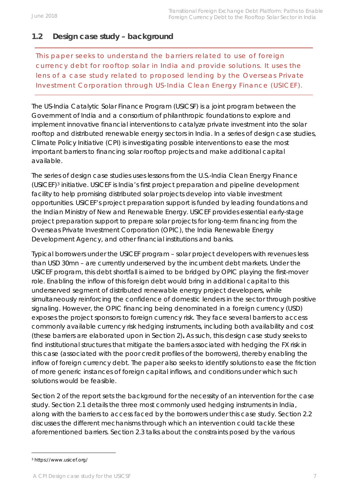# <span id="page-6-0"></span>**1.2 Design case study – background**

*This paper seeks to understand the barriers related to use of foreign currency debt for rooftop solar in India and provide solutions. It uses the lens of a case study related to proposed lending by the Overseas Private Investment Corporation through US-India Clean Energy Finance (USICEF).* 

The US-India Catalytic Solar Finance Program (USICSF) is a joint program between the Government of India and a consortium of philanthropic foundations to explore and implement innovative financial interventions to catalyze private investment into the solar rooftop and distributed renewable energy sectors in India. In a series of design case studies, Climate Policy Initiative (CPI) is investigating possible interventions to ease the most important barriers to financing solar rooftop projects and make additional capital available.

The series of design case studies uses lessons from the U.S.-India Clean Energy Finance (USICEF)[3](#page-6-1) initiative. USICEF is India's first project preparation and pipeline development facility to help promising distributed solar projects develop into viable investment opportunities. USICEF's project preparation support is funded by leading foundations and the Indian Ministry of New and Renewable Energy. USICEF provides essential early-stage project preparation support to prepare solar projects for long-term financing from the Overseas Private Investment Corporation (OPIC), the India Renewable Energy Development Agency, and other financial institutions and banks.

Typical borrowers under the USICEF program – solar project developers with revenues less than USD 30mn – are currently underserved by the incumbent debt markets. Under the USICEF program, this debt shortfall is aimed to be bridged by OPIC playing the first-mover role. Enabling the inflow of this foreign debt would bring in additional capital to this underserved segment of distributed renewable energy project developers, while simultaneously reinforcing the confidence of domestic lenders in the sector through positive signaling. However, the OPIC financing being denominated in a foreign currency (USD) exposes the project sponsors to foreign currency risk. They face several barriers to access commonly available currency risk hedging instruments, including both availability and cost (these barriers are elaborated upon in Section 2)**.** As such, this design case study seeks to find institutional structures that mitigate the barriers associated with hedging the FX risk in this case (associated with the poor credit profiles of the borrowers), thereby enabling the inflow of foreign currency debt. The paper also seeks to identify solutions to ease the friction of more generic instances of foreign capital inflows, and conditions under which such solutions would be feasible.

Section 2 of the report sets the background for the necessity of an intervention for the case study. Section 2.1 details the three most commonly used hedging instruments in India, along with the barriers to access faced by the borrowers under this case study. Section 2.2 discusses the different mechanisms through which an intervention could tackle these aforementioned barriers. Section 2.3 talks about the constraints posed by the various

<span id="page-6-1"></span><sup>3</sup> https://www.usicef.org/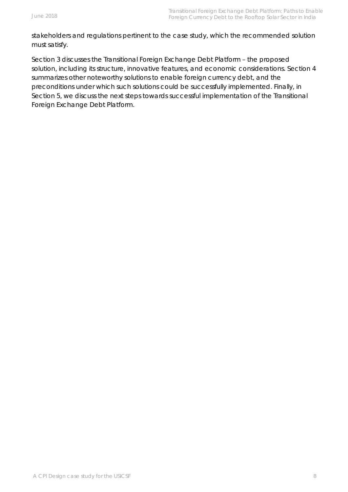stakeholders and regulations pertinent to the case study, which the recommended solution must satisfy.

Section 3 discusses the Transitional Foreign Exchange Debt Platform – the proposed solution, including its structure, innovative features, and economic considerations. Section 4 summarizes other noteworthy solutions to enable foreign currency debt, and the preconditions under which such solutions could be successfully implemented. Finally, in Section 5, we discuss the next steps towards successful implementation of the Transitional Foreign Exchange Debt Platform.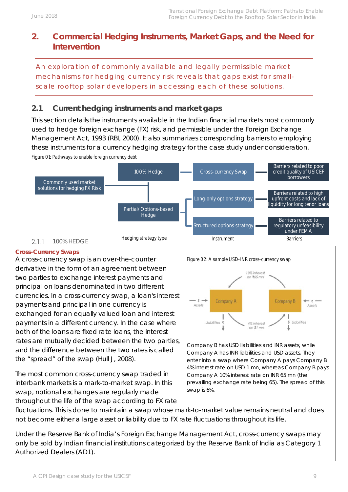# <span id="page-8-0"></span>**2. Commercial Hedging Instruments, Market Gaps, and the Need for Intervention**

*An exploration of commonly available and legally permissible market mechanisms for hedging currency risk reveals that gaps exist for smallscale rooftop solar developers in accessing each of these solutions.*

# <span id="page-8-1"></span>**2.1 Current hedging instruments and market gaps**

*Figure 01: Pathways to enable foreign currency debt* This section details the instruments available in the Indian financial markets most commonly used to hedge foreign exchange (FX) risk, and permissible under the Foreign Exchange Management Act, 1993 (RBI, 2000). It also summarizes corresponding barriers to employing these instruments for a currency hedging strategy for the case study under consideration.



#### <span id="page-8-2"></span>**Cross-Currency Swaps**

A cross-currency swap is an over-the-counter derivative in the form of an agreement between two parties to exchange interest payments and principal on loans denominated in two different currencies. In a cross-currency swap, a loan's interest payments and principal in one currency is exchanged for an equally valued loan and interest payments in a different currency. In the case where both of the loans are fixed rate loans, the interest rates are mutually decided between the two parties, and the difference between the two rates is called the "spread" of the swap (Hull J, 2008).

The most common cross-currency swap traded in interbank markets is a mark-to-market swap. In this swap, notional exchanges are regularly made throughout the life of the swap according to FX rate





*Company B has USD liabilities and INR assets, while Company A has INR liabilities and USD assets. They enter into a swap where Company A pays Company B 4% interest rate on USD 1 mn, whereas Company B pays Company A 10% interest rate on INR 65 mn (the prevailing exchange rate being 65). The spread of this swap is 6%.*

fluctuations. This is done to maintain a swap whose mark-to-market value remains neutral and does not become either a large asset or liability due to FX rate fluctuations throughout its life.

Under the Reserve Bank of India's Foreign Exchange Management Act, cross-currency swaps may only be sold by Indian financial institutions categorized by the Reserve Bank of India as Category 1 Authorized Dealers (AD1).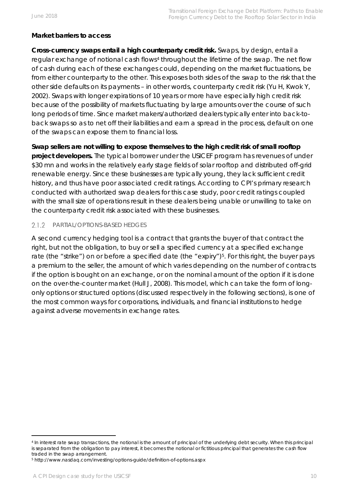#### **Market barriers to access**

**Cross-currency swaps entail a high counterparty credit risk.** Swaps, by design, entail a regular exchange of notional cash flows<sup>[4](#page-9-1)</sup> throughout the lifetime of the swap. The net flow of cash during each of these exchanges could, depending on the market fluctuations, be from either counterparty to the other. This exposes both sides of the swap to the risk that the other side defaults on its payments – in other words, counterparty credit risk (Yu H, Kwok Y, 2002). Swaps with longer expirations of 10 years or more have especially high credit risk because of the possibility of markets fluctuating by large amounts over the course of such long periods of time. Since market makers/authorized dealers typically enter into back-toback swaps so as to net off their liabilities and earn a spread in the process, default on one of the swaps can expose them to financial loss.

**Swap sellers are not willing to expose themselves to the high credit risk of small rooftop project developers.** The typical borrower under the USICEF program has revenues of under \$30 mn and works in the relatively early stage fields of solar rooftop and distributed off-grid renewable energy. Since these businesses are typically young, they lack sufficient credit history, and thus have poor associated credit ratings. According to CPI's primary research conducted with authorized swap dealers for this case study, poor credit ratings coupled with the small size of operations result in these dealers being unable or unwilling to take on the counterparty credit risk associated with these businesses.

#### <span id="page-9-0"></span> $2.1.2$ PARTIAL/OPTIONS-BASED HEDGES

A second currency hedging tool is a contract that grants the buyer of that contract the right, but not the obligation, to buy or sell a specified currency at a specified exchange rate (the "strike") on or before a specified date (the "expiry")<sup>[5](#page-9-2)</sup>. For this right, the buyer pays a premium to the seller, the amount of which varies depending on the number of contracts if the option is bought on an exchange, or on the nominal amount of the option if it is done on the over-the-counter market (Hull J, 2008). This model, which can take the form of longonly options or structured options (discussed respectively in the following sections), is one of the most common ways for corporations, individuals, and financial institutions to hedge against adverse movements in exchange rates.

<span id="page-9-1"></span><sup>4</sup> In interest rate swap transactions, the notional is the amount of principal of the underlying debt security. When this principal is separated from the obligation to pay interest, it becomes the notional or fictitious principal that generates the cash flow traded in the swap arrangement.

<span id="page-9-2"></span><sup>5</sup> http://www.nasdaq.com/investing/options-guide/definition-of-options.aspx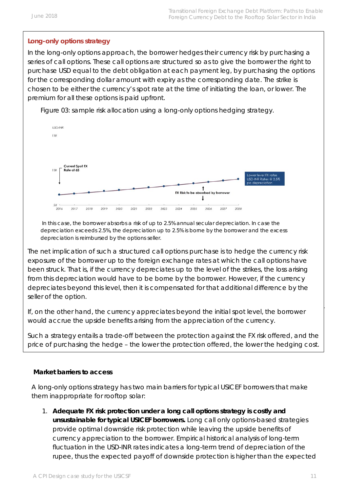#### **Long-only options strategy**

In the long-only options approach, the borrower hedges their currency risk by purchasing a series of call options. These call options are structured so as to give the borrower the right to purchase USD equal to the debt obligation at each payment leg, by purchasing the options for the corresponding dollar amount with expiry as the corresponding date. The strike is chosen to be either the currency's spot rate at the time of initiating the loan, or lower. The premium for all these options is paid upfront.

*Figure 03: sample risk allocation using a long-only options hedging strategy.*



*In this case, the borrower absorbs a risk of up to 2.5% annual secular depreciation. In case the depreciation exceeds 2.5%, the depreciation up to 2.5% is borne by the borrower and the excess depreciation is reimbursed by the options seller*.

The net implication of such a structured call options purchase is to hedge the currency risk exposure of the borrower up to the foreign exchange rates at which the call options have been struck. That is, if the currency depreciates up to the level of the strikes, the loss arising from this depreciation would have to be borne by the borrower. However, if the currency depreciates beyond this level, then it is compensated for that additional difference by the seller of the option.

If, on the other hand, the currency appreciates beyond the initial spot level, the borrower would accrue the upside benefits arising from the appreciation of the currency.

Such a strategy entails a trade-off between the protection against the FX risk offered, and the price of purchasing the hedge – the lower the protection offered, the lower the hedging cost.

#### **Market barriers to access**

A long-only options strategy has two main barriers for typical USICEF borrowers that make them inappropriate for rooftop solar:

1. **Adequate FX risk protection under a long call options strategy is costly and unsustainable for typical USICEF borrowers.** Long call only options-based strategies provide optimal downside risk protection while leaving the upside benefits of currency appreciation to the borrower. Empirical historical analysis of long-term fluctuation in the USD-INR rates indicates a long-term trend of depreciation of the rupee, thus the expected payoff of downside protection is higher than the expected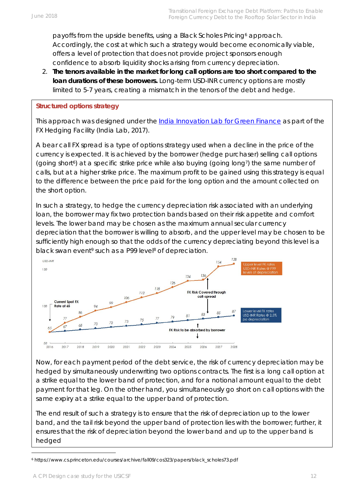payoffs from the upside benefits, using a Black Scholes Pricing<sup>[6](#page-11-0)</sup> approach. Accordingly, the cost at which such a strategy would become economically viable, offers a level of protection that does not provide project sponsors enough confidence to absorb liquidity shocks arising from currency depreciation.

2. **The tenors available in the market for long call options are too short compared to the loan durations of these borrowers.** Long-term USD-INR currency options are mostly limited to 5-7 years, creating a mismatch in the tenors of the debt and hedge.

#### **Structured options strategy**

This approach was designed under the [India Innovation Lab for Green Finance](https://www.climatefinancelab.org/the-labs/india/) as part of the FX Hedging Facility (India Lab, 2017).

A bear call FX spread is a type of options strategy used when a decline in the price of the currency is expected. It is achieved by the borrower (hedge purchaser) selling call options (going short<sup>6</sup>) at a specific strike price while also buying (going long<sup>7</sup>) the same number of calls, but at a higher strike price. The maximum profit to be gained using this strategy is equal to the difference between the price paid for the long option and the amount collected on the short option.

In such a strategy, to hedge the currency depreciation risk associated with an underlying loan, the borrower may fix two protection bands based on their risk appetite and comfort levels. The lower band may be chosen as the maximum annual secular currency depreciation that the borrower is willing to absorb, and the upper level may be chosen to be sufficiently high enough so that the odds of the currency depreciating beyond this level is a black swan event<sup>9</sup> such as a P99 level<sup>8</sup> of depreciation.



Now, for each payment period of the debt service, the risk of currency depreciation may be hedged by simultaneously underwriting two options contracts. The first is a long call option at a strike equal to the lower band of protection, and for a notional amount equal to the debt payment for that leg. On the other hand, you simultaneously go short on call options with the same expiry at a strike equal to the upper band of protection.

The end result of such a strategy is to ensure that the risk of depreciation up to the lower band, and the tail risk beyond the upper band of protection lies with the borrower; further, it ensures that the risk of depreciation beyond the lower band and up to the upper band is hedged

<span id="page-11-0"></span><sup>6</sup> https://www.cs.princeton.edu/courses/archive/fall09/cos323/papers/black\_scholes73.pdf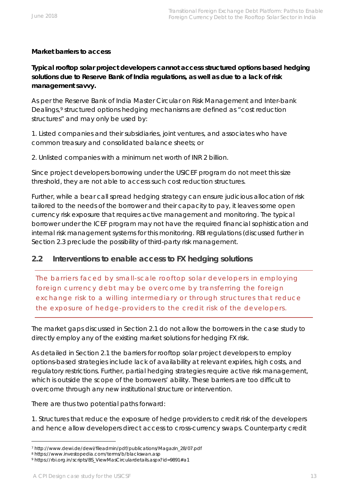#### **Market barriers to access**

**Typical rooftop solar project developers cannot access structured options based hedging solutions due to Reserve Bank of India regulations, as well as due to a lack of risk management savvy.**

As per the Reserve Bank of India Master Circular on Risk Management and Inter-bank Dealings,<sup>[9](#page-12-1)</sup> structured options hedging mechanisms are defined as "cost reduction structures" and may only be used by:

1. Listed companies and their subsidiaries, joint ventures, and associates who have common treasury and consolidated balance sheets; or

2. Unlisted companies with a minimum net worth of INR 2 billion.

Since project developers borrowing under the USICEF program do not meet this size threshold, they are not able to access such cost reduction structures.

Further, while a bear call spread hedging strategy can ensure judicious allocation of risk tailored to the needs of the borrower and their capacity to pay, it leaves some open currency risk exposure that requires active management and monitoring. The typical borrower under the ICEF program may not have the required financial sophistication and internal risk management systems for this monitoring. RBI regulations (discussed further in Section 2.3 preclude the possibility of third-party risk management.

#### <span id="page-12-0"></span>**2.2 Interventions to enable access to FX hedging solutions**

*The barriers faced by small-scale rooftop solar developers in employing*  foreign currency debt may be overcome by transferring the foreign *exchange risk to a willing intermediary or through structures that reduce the exposure of hedge-providers to the credit risk of the developers.* 

The market gaps discussed in Section 2.1 do not allow the borrowers in the case study to directly employ any of the existing market solutions for hedging FX risk.

As detailed in Section 2.1 the barriers for rooftop solar project developers to employ options-based strategies include lack of availability at relevant expiries, high costs, and regulatory restrictions. Further, partial hedging strategies require active risk management, which is outside the scope of the borrowers' ability. These barriers are too difficult to overcome through any new institutional structure or intervention.

There are thus two potential paths forward:

1. Structures that reduce the exposure of hedge providers to credit risk of the developers and hence allow developers direct access to cross-currency swaps. Counterparty credit

<sup>7</sup> http://www.dewi.de/dewi/fileadmin/pdf/publications/Magazin\_28/07.pdf

<sup>8</sup> https://www.investopedia.com/terms/b/blackswan.asp

<span id="page-12-1"></span><sup>9</sup> https://rbi.org.in/scripts/BS\_ViewMasCirculardetails.aspx?id=9891#a1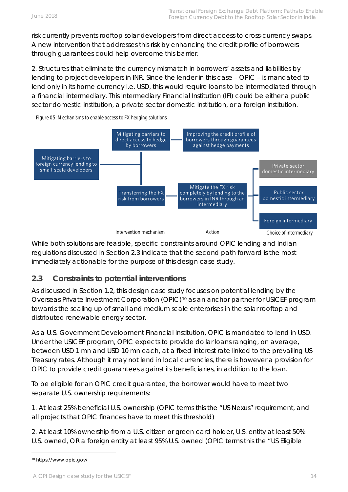risk currently prevents rooftop solar developers from direct access to cross-currency swaps. A new intervention that addresses this risk by enhancing the credit profile of borrowers through guarantees could help overcome this barrier.

2. Structures that eliminate the currency mismatch in borrowers' assets and liabilities by lending to project developers in INR. Since the lender in this case – OPIC – is mandated to lend only in its home currency i.e. USD, this would require loans to be intermediated through a financial intermediary. This Intermediary Financial Institution (IFI) could be either a public sector domestic institution, a private sector domestic institution, or a foreign institution.

*Figure 05: Mechanisms to enable access to FX hedging solutions*



While both solutions are feasible, specific constraints around OPIC lending and Indian regulations discussed in Section 2.3 indicate that the second path forward is the most immediately actionable for the purpose of this design case study.

## <span id="page-13-0"></span>**2.3 Constraints to potential interventions**

As discussed in Section 1.2, this design case study focuses on potential lending by the Overseas Private Investment Corporation (OPIC)[10](#page-13-1) as an anchor partner for USICEF program towards the scaling up of small and medium scale enterprises in the solar rooftop and distributed renewable energy sector.

As a U.S. Government Development Financial Institution, OPIC is mandated to lend in USD. Under the USICEF program, OPIC expects to provide dollar loans ranging, on average, between USD 1 mn and USD 10 mn each, at a fixed interest rate linked to the prevailing US Treasury rates. Although it may not lend in local currencies, there is however a provision for OPIC to provide credit guarantees against its beneficiaries, in addition to the loan.

To be eligible for an OPIC credit guarantee, the borrower would have to meet two separate U.S. ownership requirements:

1. At least 25% beneficial U.S. ownership (OPIC terms this the "US Nexus" requirement, and all projects that OPIC finances have to meet this threshold)

2. At least 10% ownership from a U.S. citizen or green card holder, U.S. entity at least 50% U.S. owned, OR a foreign entity at least 95% U.S. owned (OPIC terms this the "US Eligible

<span id="page-13-1"></span><sup>10</sup> https://www.opic.gov/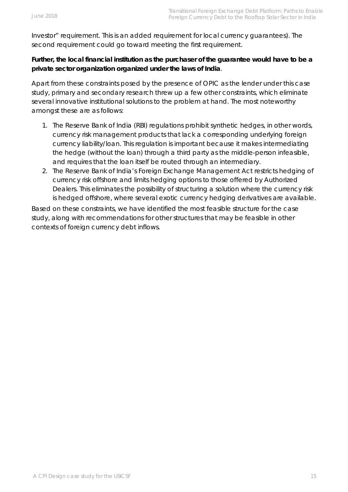Investor" requirement. This is an added requirement for local currency guarantees). The second requirement could go toward meeting the first requirement.

#### **Further, the local financial institution as the purchaser of the guarantee would have to be a private sector organization organized under the laws of India**.

Apart from these constraints posed by the presence of OPIC as the lender under this case study, primary and secondary research threw up a few other constraints, which eliminate several innovative institutional solutions to the problem at hand. The most noteworthy amongst these are as follows:

- 1. The Reserve Bank of India (RBI) regulations prohibit synthetic hedges, in other words, currency risk management products that lack a corresponding underlying foreign currency liability/loan. This regulation is important because it makes intermediating the hedge (without the loan) through a third party as the middle-person infeasible, and requires that the loan itself be routed through an intermediary.
- 2. The Reserve Bank of India's Foreign Exchange Management Act restricts hedging of currency risk offshore and limits hedging options to those offered by Authorized Dealers. This eliminates the possibility of structuring a solution where the currency risk is hedged offshore, where several exotic currency hedging derivatives are available.

Based on these constraints, we have identified the most feasible structure for the case study, along with recommendations for other structures that may be feasible in other contexts of foreign currency debt inflows.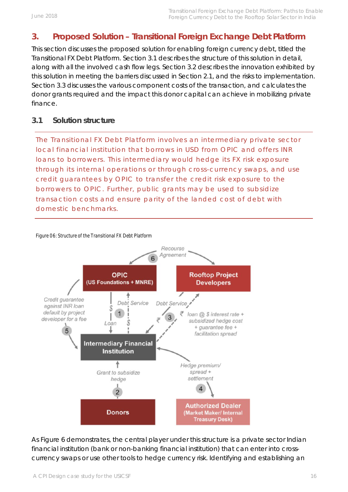# <span id="page-15-0"></span>**3. Proposed Solution – Transitional Foreign Exchange Debt Platform**

This section discusses the proposed solution for enabling foreign currency debt, titled the Transitional FX Debt Platform. Section 3.1 describes the structure of this solution in detail, along with all the involved cash flow legs. Section 3.2 describes the innovation exhibited by this solution in meeting the barriers discussed in Section 2.1, and the risks to implementation. Section 3.3 discusses the various component costs of the transaction, and calculates the donor grants required and the impact this donor capital can achieve in mobilizing private finance.

#### <span id="page-15-1"></span>**3.1 Solution structure**

*The Transitional FX Debt Platform involves an intermediary private sector local financial institution that borrows in USD from OPIC and offers INR loans to borrowers. This intermediary would hedge its FX risk exposure through its internal operations or through cross-currency swaps, and use credit guarantees by OPIC to transfer the credit risk exposure to the borrowers to OPIC. Further, public grants may be used to subsidize transaction costs and ensure parity of the landed cost of debt with domestic benchmarks.*

#### *Figure 06: Structure of the Transitional FX Debt Platform*



As Figure 6 demonstrates, the central player under this structure is a private sector Indian financial institution (bank or non-banking financial institution) that can enter into crosscurrency swaps or use other tools to hedge currency risk. Identifying and establishing an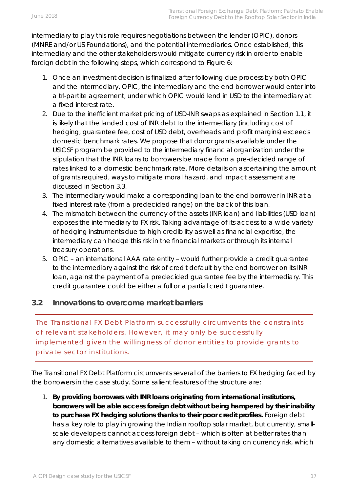intermediary to play this role requires negotiations between the lender (OPIC), donors (MNRE and/or US Foundations), and the potential intermediaries. Once established, this intermediary and the other stakeholders would mitigate currency risk in order to enable foreign debt in the following steps, which correspond to Figure 6:

- 1. Once an investment decision is finalized after following due process by both OPIC and the intermediary, OPIC, the intermediary and the end borrower would enter into a tri-partite agreement, under which OPIC would lend in USD to the intermediary at a fixed interest rate.
- 2. Due to the inefficient market pricing of USD-INR swaps as explained in Section 1.1, it is likely that the landed cost of INR debt to the intermediary (including cost of hedging, guarantee fee, cost of USD debt, overheads and profit margins) exceeds domestic benchmark rates. We propose that donor grants available under the USICSF program be provided to the intermediary financial organization under the stipulation that the INR loans to borrowers be made from a pre-decided range of rates linked to a domestic benchmark rate. More details on ascertaining the amount of grants required, ways to mitigate moral hazard, and impact assessment are discussed in Section 3.3.
- 3. The intermediary would make a corresponding loan to the end borrower in INR at a fixed interest rate (from a predecided range) on the back of this loan.
- 4. The mismatch between the currency of the assets (INR loan) and liabilities (USD loan) exposes the intermediary to FX risk. Taking advantage of its access to a wide variety of hedging instruments due to high credibility as well as financial expertise, the intermediary can hedge this risk in the financial markets or through its internal treasury operations.
- 5. OPIC an international AAA rate entity would further provide a credit guarantee to the intermediary against the risk of credit default by the end borrower on its INR loan, against the payment of a predecided guarantee fee by the intermediary. This credit guarantee could be either a full or a partial credit guarantee.

## <span id="page-16-0"></span>**3.2 Innovations to overcome market barriers**

*The Transitional FX Debt Platform successfully circumvents the constraints of relevant stakeholders. However, it may only be successfully implemented given the willingness of donor entities to provide grants to private sector institutions.* 

The Transitional FX Debt Platform circumvents several of the barriers to FX hedging faced by the borrowers in the case study. Some salient features of the structure are:

1. **By providing borrowers with INR loans originating from international institutions, borrowers will be able access foreign debt without being hampered by their inability to purchase FX hedging solutions thanks to their poor credit profiles.** Foreign debt has a key role to play in growing the Indian rooftop solar market, but currently, smallscale developers cannot access foreign debt – which is often at better rates than any domestic alternatives available to them – without taking on currency risk, which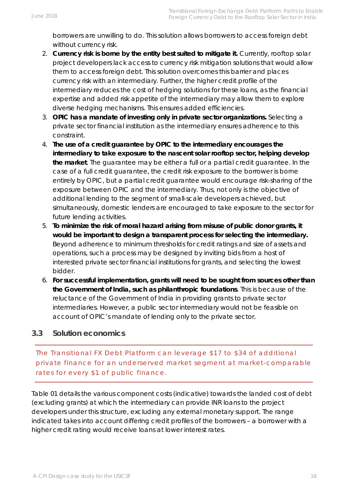borrowers are unwilling to do. This solution allows borrowers to access foreign debt without currency risk.

- 2. **Currency risk is borne by the entity best suited to mitigate it.** Currently, rooftop solar project developers lack access to currency risk mitigation solutions that would allow them to access foreign debt. This solution overcomes this barrier and places currency risk with an intermediary. Further, the higher credit profile of the intermediary reduces the cost of hedging solutions for these loans, as the financial expertise and added risk appetite of the intermediary may allow them to explore diverse hedging mechanisms. This ensures added efficiencies.
- 3. **OPIC has a mandate of investing only in private sector organizations.** Selecting a private sector financial institution as the intermediary ensures adherence to this constraint.
- 4. **The use of a credit guarantee by OPIC to the intermediary encourages the intermediary to take exposure to the nascent solar rooftop sector, helping develop the market**. The guarantee may be either a full or a partial credit guarantee. In the case of a full credit guarantee, the credit risk exposure to the borrower is borne entirely by OPIC, but a partial credit guarantee would encourage risk-sharing of the exposure between OPIC and the intermediary. Thus, not only is the objective of additional lending to the segment of small-scale developers achieved, but simultaneously, domestic lenders are encouraged to take exposure to the sector for future lending activities.
- 5. **To minimize the risk of moral hazard arising from misuse of public donor grants, it would be important to design a transparent process for selecting the intermediary.** Beyond adherence to minimum thresholds for credit ratings and size of assets and operations, such a process may be designed by inviting bids from a host of interested private sector financial institutions for grants, and selecting the lowest bidder.
- 6. **For successful implementation, grants will need to be sought from sources other than the Government of India, such as philanthropic foundations**. This is because of the reluctance of the Government of India in providing grants to private sector intermediaries. However, a public sector intermediary would not be feasible on account of OPIC's mandate of lending only to the private sector.

## <span id="page-17-0"></span>**3.3 Solution economics**

*The Transitional FX Debt Platform can leverage \$17 to \$34 of additional private finance for an underserved market segment at market-comparable rates for every \$1 of public finance.* 

Table 01 details the various component costs (indicative) towards the landed cost of debt (excluding grants) at which the intermediary can provide INR loans to the project developers under this structure, excluding any external monetary support. The range indicated takes into account differing credit profiles of the borrowers – a borrower with a higher credit rating would receive loans at lower interest rates.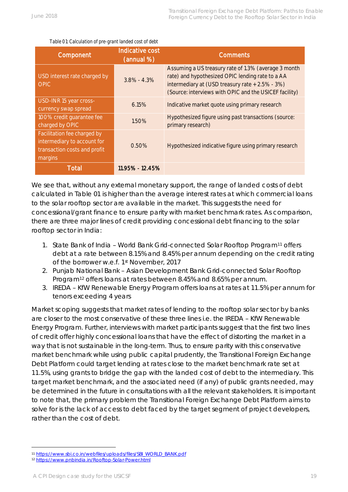| Table O1: Calculation of pre-grant landed cost of debt |  |
|--------------------------------------------------------|--|

| Component                                                                                             | <b>Indicative cost</b><br>(annual %) | <b>Comments</b>                                                                                                                                                                                                       |
|-------------------------------------------------------------------------------------------------------|--------------------------------------|-----------------------------------------------------------------------------------------------------------------------------------------------------------------------------------------------------------------------|
| USD interest rate charged by<br><b>OPIC</b>                                                           | $3.8\% - 4.3\%$                      | Assuming a US treasury rate of 1.3% (average 3 month<br>rate) and hypothesized OPIC lending rate to a AA<br>intermediary at (USD treasury rate + 2.5% - 3%)<br>(Source: interviews with OPIC and the USICEF facility) |
| USD-INR 15 year cross-<br>currency swap spread                                                        | 6.15%                                | Indicative market quote using primary research                                                                                                                                                                        |
| 100% credit quarantee fee<br>charged by OPIC                                                          | 1.50%                                | Hypothesized figure using past transactions (source:<br>primary research)                                                                                                                                             |
| Facilitation fee charged by<br>intermediary to account for<br>transaction costs and profit<br>margins | 0.50%                                | Hypothesized indicative figure using primary research                                                                                                                                                                 |
| Total                                                                                                 | 11.95% - 12.45%                      |                                                                                                                                                                                                                       |

We see that, without any external monetary support, the range of landed costs of debt calculated in Table 01 is higher than the average interest rates at which commercial loans to the solar rooftop sector are available in the market. This suggests the need for concessional/grant finance to ensure parity with market benchmark rates. As comparison, there are three major lines of credit providing concessional debt financing to the solar rooftop sector in India:

- 1. State Bank of India World Bank Grid-connected Solar Rooftop Program<sup>[11](#page-18-0)</sup> offers debt at a rate between 8.15% and 8.45% per annum depending on the credit rating of the borrower w.e.f. 1st November, 2017
- 2. Punjab National Bank Asian Development Bank Grid-connected Solar Rooftop Program<sup>[12](#page-18-1)</sup> offers loans at rates between 8.45% and 8.65% per annum.
- 3. IREDA KfW Renewable Energy Program offers loans at rates at 11.5% per annum for tenors exceeding 4 years

Market scoping suggests that market rates of lending to the rooftop solar sector by banks are closer to the most conservative of these three lines i.e. the IREDA – KfW Renewable Energy Program. Further, interviews with market participants suggest that the first two lines of credit offer highly concessional loans that have the effect of distorting the market in a way that is not sustainable in the long-term. Thus, to ensure parity with this conservative market benchmark while using public capital prudently, the Transitional Foreign Exchange Debt Platform could target lending at rates close to the market benchmark rate set at 11.5%, using grants to bridge the gap with the landed cost of debt to the intermediary. This target market benchmark, and the associated need (if any) of public grants needed, may be determined in the future in consultations with all the relevant stakeholders. It is important to note that, the primary problem the Transitional Foreign Exchange Debt Platform aims to solve for is the lack of access to debt faced by the target segment of project developers, rather than the cost of debt.

<span id="page-18-0"></span><sup>11</sup> [https://www.sbi.co.in/webfiles/uploads/files/SBI\\_WORLD\\_BANK.pdf](https://www.sbi.co.in/webfiles/uploads/files/SBI_WORLD_BANK.pdf)

<span id="page-18-1"></span><sup>12</sup> <https://www.pnbindia.in/Rooftop-Solar-Power.html>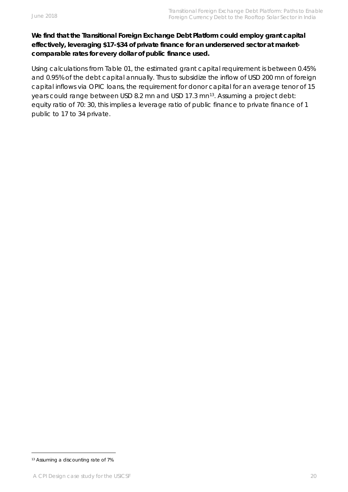#### **We find that the Transitional Foreign Exchange Debt Platform could employ grant capital effectively, leveraging \$17-\$34 of private finance for an underserved sector at marketcomparable rates for every dollar of public finance used.**

Using calculations from Table 01, the estimated grant capital requirement is between 0.45% and 0.95% of the debt capital annually. Thus to subsidize the inflow of USD 200 mn of foreign capital inflows via OPIC loans, the requirement for donor capital for an average tenor of 15 years could range between USD 8.2 mn and USD 17.3 mn<sup>[13](#page-19-0)</sup>. Assuming a project debt: equity ratio of 70: 30, this implies a leverage ratio of public finance to private finance of 1 public to 17 to 34 private.

<span id="page-19-0"></span><sup>13</sup> Assuming a discounting rate of 7%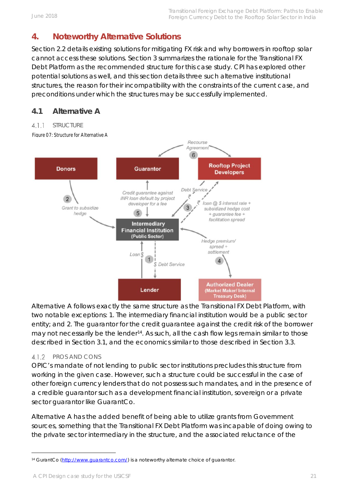# <span id="page-20-0"></span>**4. Noteworthy Alternative Solutions**

Section 2.2 details existing solutions for mitigating FX risk and why borrowers in rooftop solar cannot access these solutions. Section 3 summarizes the rationale for the Transitional FX Debt Platform as the recommended structure for this case study. CPI has explored other potential solutions as well, and this section details three such alternative institutional structures, the reason for their incompatibility with the constraints of the current case, and preconditions under which the structures may be successfully implemented.

# <span id="page-20-1"></span>**4.1 Alternative A**

#### <span id="page-20-2"></span> $4.1.1$ **STRUCTURE**



Alternative A follows exactly the same structure as the Transitional FX Debt Platform, with two notable exceptions: 1. The intermediary financial institution would be a public sector entity; and 2. The guarantor for the credit guarantee against the credit risk of the borrower may not necessarily be the lender<sup>14</sup>. As such, all the cash flow legs remain similar to those described in Section 3.1, and the economics similar to those described in Section 3.3.

#### <span id="page-20-3"></span>4.1.2 PROS AND CONS

OPIC's mandate of not lending to public sector institutions precludes this structure from working in the given case. However, such a structure could be successful in the case of other foreign currency lenders that do not possess such mandates, and in the presence of a credible guarantor such as a development financial institution, sovereign or a private sector guarantor like GuarantCo.

Alternative A has the added benefit of being able to utilize grants from Government sources, something that the Transitional FX Debt Platform was incapable of doing owing to the private sector intermediary in the structure, and the associated reluctance of the

<span id="page-20-4"></span><sup>14</sup> GurantCo [\(http://www.guarantco.com/\)](http://www.guarantco.com/) is a noteworthy alternate choice of guarantor.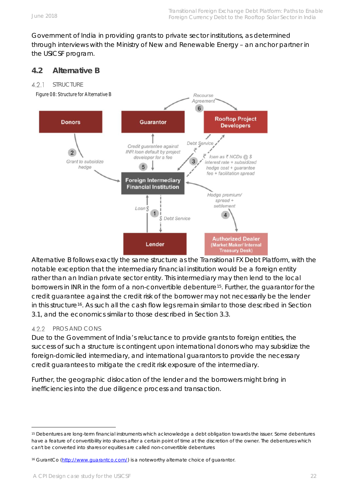Government of India in providing grants to private sector institutions, as determined through interviews with the Ministry of New and Renewable Energy – an anchor partner in the USICSF program.

#### <span id="page-21-0"></span>**4.2 Alternative B**

#### <span id="page-21-1"></span> $4.2.1$ **STRUCTURE**



Alternative B follows exactly the same structure as the Transitional FX Debt Platform, with the notable exception that the intermediary financial institution would be a foreign entity rather than an Indian private sector entity. This intermediary may then lend to the local borrowers in INR in the form of a non-convertible debenture[15.](#page-21-3) Further, the guarantor for the credit guarantee against the credit risk of the borrower may not necessarily be the lender in this structure<sup>[16](#page-21-4)</sup>. As such all the cash flow legs remain similar to those described in Section 3.1, and the economics similar to those described in Section 3.3.

#### <span id="page-21-2"></span>4.2.2 PROS AND CONS

Due to the Government of India's reluctance to provide grants to foreign entities, the success of such a structure is contingent upon international donors who may subsidize the foreign-domiciled intermediary, and international guarantors to provide the necessary credit guarantees to mitigate the credit risk exposure of the intermediary.

Further, the geographic dislocation of the lender and the borrowers might bring in inefficiencies into the due diligence process and transaction.

<span id="page-21-3"></span><sup>15</sup> Debentures are long-term financial instruments which acknowledge a debt obligation towards the issuer. Some debentures have a feature of convertibility into shares after a certain point of time at the discretion of the owner. The debentures which can't be converted into shares or equities are called non-convertible debentures

<span id="page-21-4"></span><sup>16</sup> GurantCo [\(http://www.guarantco.com/\)](http://www.guarantco.com/) is a noteworthy alternate choice of guarantor.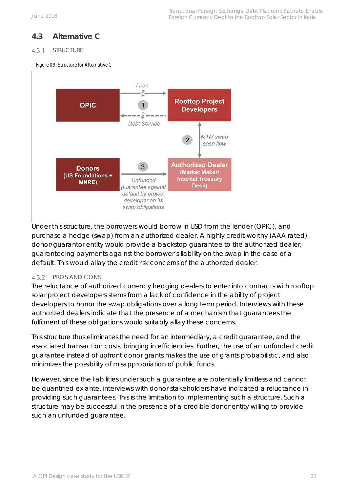# <span id="page-22-0"></span>**4.3 Alternative C**

#### <span id="page-22-1"></span> $4.3.1$ **STRUCTURE**

*Figure 09: Structure for Alternative C*



Under this structure, the borrowers would borrow in USD from the lender (OPIC), and purchase a hedge (swap) from an authorized dealer. A highly credit-worthy (AAA rated) donor/guarantor entity would provide a backstop guarantee to the authorized dealer, guaranteeing payments against the borrower's liability on the swap in the case of a default. This would allay the credit risk concerns of the authorized dealer.

#### <span id="page-22-2"></span>4.3.2 PROS AND CONS

The reluctance of authorized currency hedging dealers to enter into contracts with rooftop solar project developers stems from a lack of confidence in the ability of project developers to honor the swap obligations over a long term period. Interviews with these authorized dealers indicate that the presence of a mechanism that guarantees the fulfilment of these obligations would suitably allay these concerns.

This structure thus eliminates the need for an intermediary, a credit guarantee, and the associated transaction costs, bringing in efficiencies. Further, the use of an unfunded credit guarantee instead of upfront donor grants makes the use of grants probabilistic, and also minimizes the possibility of misappropriation of public funds.

However, since the liabilities under such a guarantee are potentially limitless and cannot be quantified ex ante, interviews with donor stakeholders have indicated a reluctance in providing such guarantees. This is the limitation to implementing such a structure. Such a structure may be successful in the presence of a credible donor entity willing to provide such an unfunded guarantee.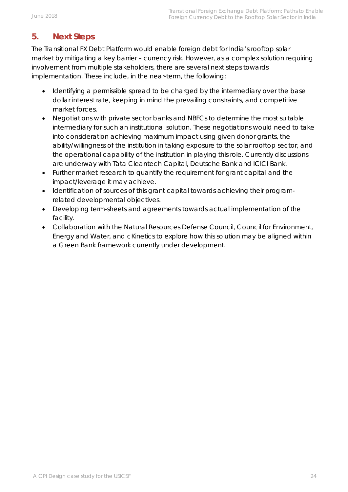# <span id="page-23-0"></span>**5. Next Steps**

The Transitional FX Debt Platform would enable foreign debt for India's rooftop solar market by mitigating a key barrier – currency risk. However, as a complex solution requiring involvement from multiple stakeholders, there are several next steps towards implementation. These include, in the near-term, the following:

- Identifying a permissible spread to be charged by the intermediary over the base dollar interest rate, keeping in mind the prevailing constraints, and competitive market forces.
- Negotiations with private sector banks and NBFCs to determine the most suitable intermediary for such an institutional solution. These negotiations would need to take into consideration achieving maximum impact using given donor grants, the ability/willingness of the institution in taking exposure to the solar rooftop sector, and the operational capability of the institution in playing this role. Currently discussions are underway with Tata Cleantech Capital, Deutsche Bank and ICICI Bank.
- Further market research to quantify the requirement for grant capital and the impact/leverage it may achieve.
- Identification of sources of this grant capital towards achieving their programrelated developmental objectives.
- Developing term-sheets and agreements towards actual implementation of the facility.
- Collaboration with the Natural Resources Defense Council, Council for Environment, Energy and Water, and cKinetics to explore how this solution may be aligned within a Green Bank framework currently under development.